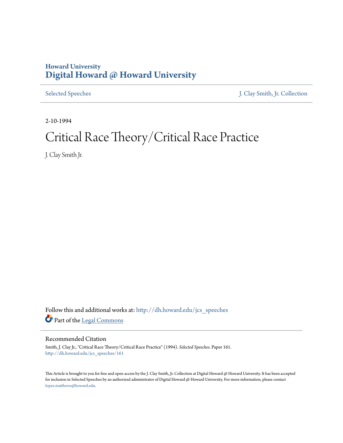### **Howard University [Digital Howard @ Howard University](http://dh.howard.edu?utm_source=dh.howard.edu%2Fjcs_speeches%2F161&utm_medium=PDF&utm_campaign=PDFCoverPages)**

[Selected Speeches](http://dh.howard.edu/jcs_speeches?utm_source=dh.howard.edu%2Fjcs_speeches%2F161&utm_medium=PDF&utm_campaign=PDFCoverPages) [J. Clay Smith, Jr. Collection](http://dh.howard.edu/jcsmith?utm_source=dh.howard.edu%2Fjcs_speeches%2F161&utm_medium=PDF&utm_campaign=PDFCoverPages)

2-10-1994

# Critical Race Theory/Critical Race Practice

J. Clay Smith Jr.

Follow this and additional works at: [http://dh.howard.edu/jcs\\_speeches](http://dh.howard.edu/jcs_speeches?utm_source=dh.howard.edu%2Fjcs_speeches%2F161&utm_medium=PDF&utm_campaign=PDFCoverPages) Part of the [Legal Commons](http://network.bepress.com/hgg/discipline/502?utm_source=dh.howard.edu%2Fjcs_speeches%2F161&utm_medium=PDF&utm_campaign=PDFCoverPages)

### Recommended Citation

Smith, J. Clay Jr., "Critical Race Theory/Critical Race Practice" (1994). *Selected Speeches.* Paper 161. [http://dh.howard.edu/jcs\\_speeches/161](http://dh.howard.edu/jcs_speeches/161?utm_source=dh.howard.edu%2Fjcs_speeches%2F161&utm_medium=PDF&utm_campaign=PDFCoverPages)

This Article is brought to you for free and open access by the J. Clay Smith, Jr. Collection at Digital Howard @ Howard University. It has been accepted for inclusion in Selected Speeches by an authorized administrator of Digital Howard @ Howard University. For more information, please contact [lopez.matthews@howard.edu.](mailto:lopez.matthews@howard.edu)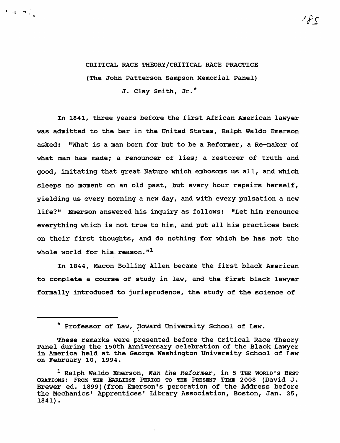## CRITICAL RACE THEORY/CRITICAL RACE PRACTICE (The John Patterson Sampson Memorial Panel) J. Clay Smith, Jr.\*

 $\mathbf{1}_{\mathcal{M}}=\mathbf{q}\left(\begin{smallmatrix} 1&1&1\\ 1&1&1&1\\ 0&1&1&1\\ 0&1&1&1\\ 0&1&1&1\\ 0&1&1&1\\ 0&1&1&1\\ 0&1&1&1\\ 0&1&1&1&1\\ 0&1&1&1&1\\ 0&1&1&1&1\\ 0&1&1&1&1\\ 0&1&1&1&1\\ 0&1&1&1&1&1\\ 0&1&1&1&1&1\\ 0&1&1&1&1&1\\ 0&1&1&1&1&1\\ 0&1&1&1&1&1\\ 0&1&$ 

In 1841, three years before the first African American lawyer was admitted to the bar in the united States, Ralph Waldo Emerson asked: "What is a man born for but to be a Reformer, a Re-maker of what man has made; a renouncer of lies; a restorer of truth and good, imitating that great Nature which embosoms us all, and which sleeps no moment on an old past, but every hour repairs herself, yielding us every morning a new day, and with every pulsation a new life?" Emerson answered his inquiry as follows: "Let him renounce everything which is not true to him, and put all his practices back on their first thoughts, and do nothing for which he has not the whole world for his reason. $"$ <sup>1</sup>

In 1844, Macon Bolling Allen became the first black American to complete a course of study in law, and the first black lawyer formally introduced to jurisprudence, the study of the science of

 $\gamma\neq\gamma$ 

<sup>\*</sup> Professor of Law, Howard University School of Law.

These remarks were presented before the Critical Race Theory<br>Panel during the 150th Anniversary celebration of the Black Lawyer in America held at the George Washington University School of Law on February 10, 1994.

<sup>&</sup>lt;sup>1</sup> Ralph Waldo Emerson, Man the Reformer, in 5 THE WORLD's BEST ORATIONS: FROM THE EARLIEST PERIOD TO THE PRESENT TIME 2008 (David J. Brewer ed. 1899) (from Emerson's peroration of the Address before the Mechanics' Apprentices' Library Association, Boston, Jan. 25, 1841).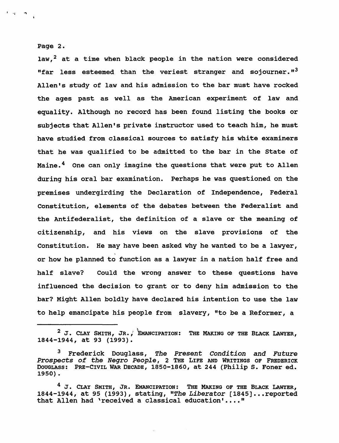#### Page 2.

'. .....

law, $^2$  at a time when black people in the nation were considered "far less esteemed than the veriest stranger and sojourner." $3$ Allen's study of law and his admission to the bar must have rocked the ages past as well as the American experiment of law and equality. Although no record has been found listing the books or subjects that Allen's private instructor used to teach him, he must have studied from classical sources to satisfy his white examiners that he was qualified to be admitted to the bar in the state of Maine.<sup>4</sup> One can only imagine the questions that were put to Allen during his oral bar examination. Perhaps he was questioned on the premises undergirding the Declaration of Independence, Federal Constitution, elements of the debates between the Federalist and the Antifederalist, the definition of a slave or the meaning of citizenship, and his views on the slave provisions of the Constitution. He may have been asked why he wanted to be a lawyer, or how he planned to function as a lawyer in a nation half free and half slave? Could the wrong answer to these questions have influenced the decision to grant or to deny him admission to the bar? Might Allen boldly have declared his intention to use the law to help emancipate his people from slavery, "to be a Reformer, a

 $2$  J. CLAY SMITH, JR., EMANCIPATION: THE MAKING OF THE BLACK LAWYER, 1844-1944, at 93 (1993).

<sup>3</sup> Frederick Douglass, *The Present Condition* and *Future Prospects of the Negro People,* 2 THE LIFE AND WRITINGS OF FREDERICK DOUGLASS: PRE-CIVIL WAR DECADE, 1850-1860, at 244 (Philip S. Foner ed. 1950).

 $4$  J. CLAY SMITH, JR. EMANCIPATION: THE MAKING OF THE BLACK LAWYER, 1844-1944, at 95 (1993), stating, "The Liberator [1845]...reported that Allen had 'received a classical education'...."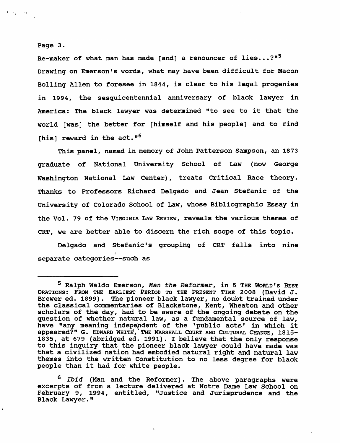### Page 3.

 $\mathbf{F} \cdot \mathbf{v}_\mathbf{p} = -\mathbf{v}_\mathbf{p}$  .

Re-maker of what man has made [and] a renouncer of lies...?" $5$ Drawing on Emerson's words, what may have been difficult for Macon Bolling Allen to foresee in 1844, is clear to his legal progenies in 1994, the sesquicentennial anniversary of black lawyer in America: The black lawyer was determined "to see to it that the world [was] the better for [himself and his people] and to find [his] reward in the act." $6$ 

This panel, named in memory of John Patterson Sampson, an 1873 graduate of National University School of Law (now George Washington National Law Center), treats Critical Race theory. Thanks to Professors Richard Delgado and Jean Stefanic of the University of Colorado School of Law, whose Bibliographic Essay in the Vol. 79 of the VIRGINIA LAw REVIEW, reveals the various themes of CRT, we are better able to discern the rich scope of this topic.

Delgado and Stefanic's grouping of CRT falls into nine separate categories--such as

<sup>6</sup>*Ibid* (Man and the Reformer). The above paragraphs were excerpts of from a lecture delivered at Notre Dame Law School on February 9, 1994, entitled, "Justice and Jurisprudence and the Black Lawyer."

<sup>5</sup> Ralph Waldo Emerson, *Man the Reformer,* in 5 THE WORLD'S BEST ORATIONS: FROM THE EARLIEST PERIOD TO THE PRESENT TIME 2008 (David J. Brewer ed. 1899). The pioneer black lawyer, no doubt trained under the classical commentaries of Blackstone, Kent, Wheaton and other scholars of the day, had to be aware of the ongoing debate on the question of whether natural law, as a fundamental source of law, have "any meaning indepepdent of the 'public acts' in which it appeared?" G. EDWARD WHITE, THE MARSHALL COURT AND CULTURAL CHANGE, 1815-1835, at 679 (abridged ed. 1991). I believe that the only response to this inquiry that the pioneer black lawyer could have made was that a civilized nation had embodied natural right and natural law themes into the written Constitution to no less degree for black people than it had for white people.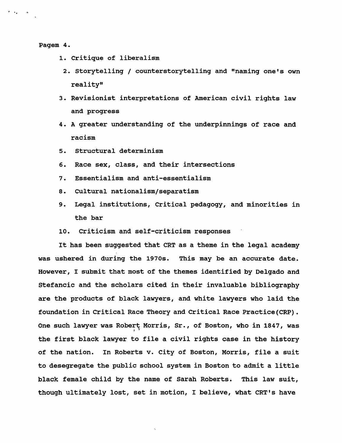Pagem 4.

 $\cdots$ 

- 1. critique of liberalism
- 2. storytelling / counterstorytelling and "naming one's own reality"
- 3. Revisionist interpretations of American civil rights law and progress
- 4. A greater understanding of the underpinnings of race and racism
- 5. structural determinism
- 6. Race sex, class, and their intersections
- 7. Essentialism and anti-essentialism
- 8. Cultural nationalism/separatism
- 9. Legal institutions, Critical pedagogy, and minorities in the bar
- 10. Criticism and self-criticism responses

It has been suggested that CRT as a theme in the legal academy was ushered in during the 1970s. This may be an accurate date. However, I submit that most of the themes identified by Delgado and Stefancic and the scholars cited in their invaluable bibliography are the products of black lawyers, and white lawyers who laid the foundation in Critical Race Theory and critical Race Practice (CRP) • One such lawyer was Robert Morris, Sr., of Boston, who in 1847, was the first black lawyer to file a civil rights case in the history of the nation. In Roberts v. City of Boston, Morris, file a suit to desegregate the public school system in Boston to admit a little black female child by the name of Sarah Roberts. This law suit, though ultimately lost, set in motion, I believe, what CRT's have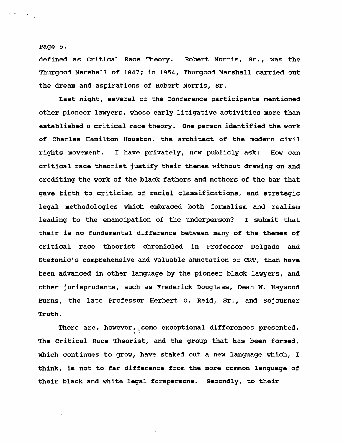### Page 5.

 $\blacksquare$ 

defined as critical Race Theory. Robert Morris, Sr., was the Thurgood Marshall of 1847; in 1954, Thurgood Marshall carried out the dream and aspirations of Robert Morris, Sr.

Last night, several of the Conference participants mentioned other pioneer lawyers, whose early litigative activities more than established a critical race theory. One person identified the work of Charles Hamilton Houston, the architect of the modern civil rights movement. I have privately, now publicly ask: How can critical race theorist justify their themes without drawing on and crediting the work of the black fathers and mothers of the bar that gave birth to criticism of racial classifications, and strategic legal methodologies which embraced both formalism and realism leading to the emancipation of the underperson? I submit that their is no fundamental difference between many of the themes of critical race theorist chronicled in Professor Delgado and Stefanic's comprehensive and valuable annotation of CRT, than have been advanced in other language by the pioneer black lawyers, and other jurisprudents, such as Frederick Douglass, Dean W. Haywood Burns, the late Professor Herbert o. Reid, Sr., and Sojourner Truth.

There are, however, some exceptional differences presented. The Critical Race Theorist, and the group that has been formed, which continues to grow, have staked out a new language which, I think, is not to far difference from the more common language of their black and white legal forepersons. Secondly, to their